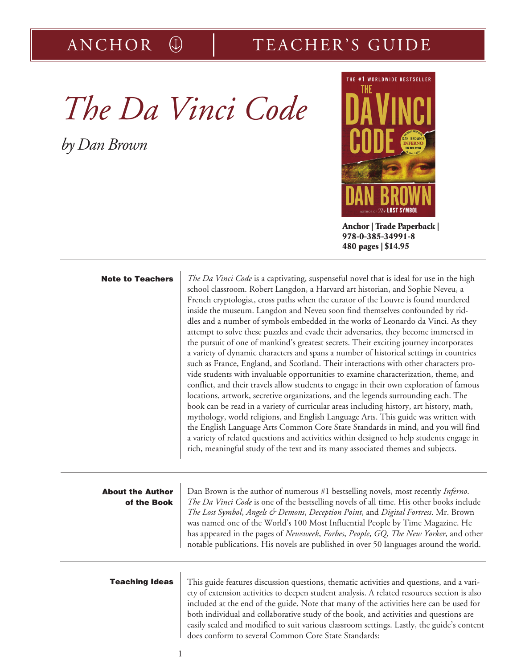# ANCHOR  $\circledR$  TEACHER'S GUIDE

*The Da Vinci Code* 

*by Dan Brown*



**Anchor | Trade Paperback | 978-0-385-34991-8 480 pages | \$14.95**

| <b>Note to Teachers</b>                | The Da Vinci Code is a captivating, suspenseful novel that is ideal for use in the high<br>school classroom. Robert Langdon, a Harvard art historian, and Sophie Neveu, a<br>French cryptologist, cross paths when the curator of the Louvre is found murdered<br>inside the museum. Langdon and Neveu soon find themselves confounded by rid-<br>dles and a number of symbols embedded in the works of Leonardo da Vinci. As they<br>attempt to solve these puzzles and evade their adversaries, they become immersed in<br>the pursuit of one of mankind's greatest secrets. Their exciting journey incorporates<br>a variety of dynamic characters and spans a number of historical settings in countries<br>such as France, England, and Scotland. Their interactions with other characters pro-<br>vide students with invaluable opportunities to examine characterization, theme, and<br>conflict, and their travels allow students to engage in their own exploration of famous<br>locations, artwork, secretive organizations, and the legends surrounding each. The<br>book can be read in a variety of curricular areas including history, art history, math,<br>mythology, world religions, and English Language Arts. This guide was written with<br>the English Language Arts Common Core State Standards in mind, and you will find<br>a variety of related questions and activities within designed to help students engage in<br>rich, meaningful study of the text and its many associated themes and subjects. |
|----------------------------------------|----------------------------------------------------------------------------------------------------------------------------------------------------------------------------------------------------------------------------------------------------------------------------------------------------------------------------------------------------------------------------------------------------------------------------------------------------------------------------------------------------------------------------------------------------------------------------------------------------------------------------------------------------------------------------------------------------------------------------------------------------------------------------------------------------------------------------------------------------------------------------------------------------------------------------------------------------------------------------------------------------------------------------------------------------------------------------------------------------------------------------------------------------------------------------------------------------------------------------------------------------------------------------------------------------------------------------------------------------------------------------------------------------------------------------------------------------------------------------------------------------------------------------------|
| <b>About the Author</b><br>of the Book | Dan Brown is the author of numerous #1 bestselling novels, most recently <i>Inferno</i> .<br>The Da Vinci Code is one of the bestselling novels of all time. His other books include<br>The Lost Symbol, Angels & Demons, Deception Point, and Digital Fortress. Mr. Brown<br>was named one of the World's 100 Most Influential People by Time Magazine. He<br>has appeared in the pages of Newsweek, Forbes, People, GQ, The New Yorker, and other<br>notable publications. His novels are published in over 50 languages around the world.                                                                                                                                                                                                                                                                                                                                                                                                                                                                                                                                                                                                                                                                                                                                                                                                                                                                                                                                                                                     |
| <b>Teaching Ideas</b>                  | This guide features discussion questions, thematic activities and questions, and a vari-<br>ety of extension activities to deepen student analysis. A related resources section is also<br>included at the end of the guide. Note that many of the activities here can be used for<br>both individual and collaborative study of the book, and activities and questions are<br>easily scaled and modified to suit various classroom settings. Lastly, the guide's content<br>does conform to several Common Core State Standards:                                                                                                                                                                                                                                                                                                                                                                                                                                                                                                                                                                                                                                                                                                                                                                                                                                                                                                                                                                                                |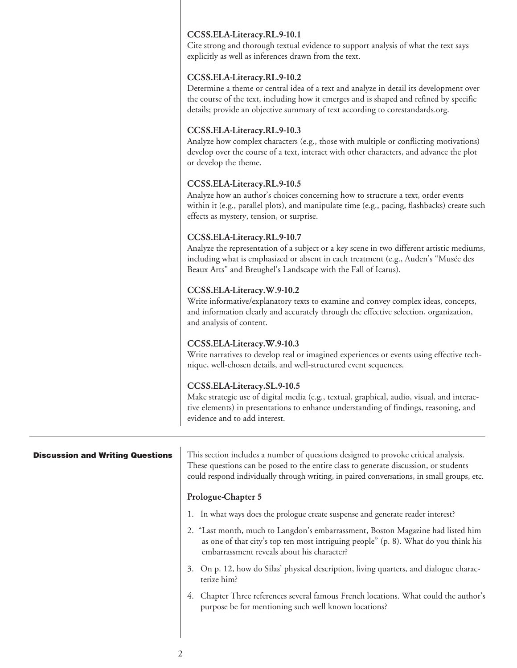# CCSS.ELA-Literacy.RL.9-10.1

Cite strong and thorough textual evidence to support analysis of what the text says explicitly as well as inferences drawn from the text.

# CCSS.ELA-Literacy.RL.9-10.2

Determine a theme or central idea of a text and analyze in detail its development over the course of the text, including how it emerges and is shaped and refined by specific details; provide an objective summary of text according to corestandards.org.

# CCSS.ELA-Literacy.RL.9-10.3

Analyze how complex characters (e.g., those with multiple or conflicting motivations) develop over the course of a text, interact with other characters, and advance the plot or develop the theme.

# CCSS.ELA-Literacy.RL.9-10.5

Analyze how an author's choices concerning how to structure a text, order events within it (e.g., parallel plots), and manipulate time (e.g., pacing, flashbacks) create such effects as mystery, tension, or surprise.

# CCSS.ELA-Literacy.RL.9-10.7

Analyze the representation of a subject or a key scene in two different artistic mediums, including what is emphasized or absent in each treatment (e.g., Auden's "Musée des Beaux Arts" and Breughel's Landscape with the Fall of Icarus).

# CCSS.ELA-Literacy.W.9-10.2

Write informative/explanatory texts to examine and convey complex ideas, concepts, and information clearly and accurately through the effective selection, organization, and analysis of content.

# CCSS.ELA-Literacy.W.9-10.3

Write narratives to develop real or imagined experiences or events using effective technique, well-chosen details, and well-structured event sequences.

# CCSS.ELA-Literacy.SL.9-10.5

Make strategic use of digital media (e.g., textual, graphical, audio, visual, and interactive elements) in presentations to enhance understanding of findings, reasoning, and evidence and to add interest.

This section includes a number of questions designed to provoke critical analysis. These questions can be posed to the entire class to generate discussion, or students could respond individually through writing, in paired conversations, in small groups, etc. Prologue-Chapter 5 1. In what ways does the prologue create suspense and generate reader interest? Discussion and Writing Questions

- 2. "Last month, much to Langdon's embarrassment, Boston Magazine had listed him as one of that city's top ten most intriguing people" (p. 8). What do you think his embarrassment reveals about his character?
- 3. On p. 12, how do Silas' physical description, living quarters, and dialogue characterize him?
- 4. Chapter Three references several famous French locations. What could the author's purpose be for mentioning such well known locations?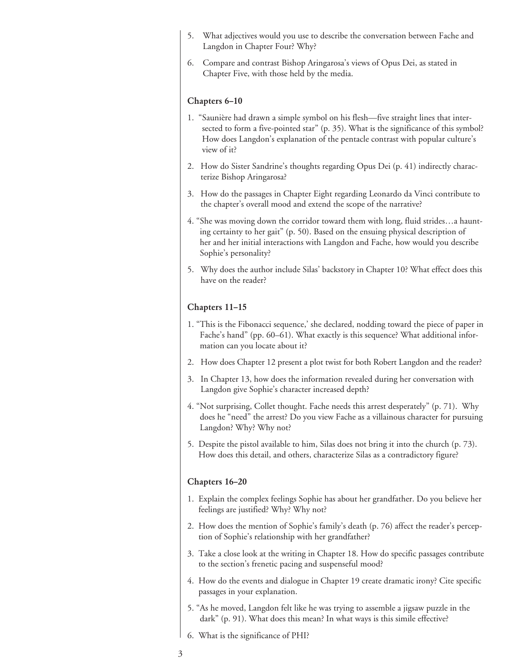- 5. What adjectives would you use to describe the conversation between Fache and Langdon in Chapter Four? Why?
- 6. Compare and contrast Bishop Aringarosa's views of Opus Dei, as stated in Chapter Five, with those held by the media.

#### Chapters 6–10

- 1. "Saunière had drawn a simple symbol on his flesh—five straight lines that intersected to form a five-pointed star" (p. 35). What is the significance of this symbol? How does Langdon's explanation of the pentacle contrast with popular culture's view of it?
- 2. How do Sister Sandrine's thoughts regarding Opus Dei (p. 41) indirectly characterize Bishop Aringarosa?
- 3. How do the passages in Chapter Eight regarding Leonardo da Vinci contribute to the chapter's overall mood and extend the scope of the narrative?
- 4. "She was moving down the corridor toward them with long, fluid strides…a haunting certainty to her gait" (p. 50). Based on the ensuing physical description of her and her initial interactions with Langdon and Fache, how would you describe Sophie's personality?
- 5. Why does the author include Silas' backstory in Chapter 10? What effect does this have on the reader?

#### Chapters 11–15

- 1. "This is the Fibonacci sequence,' she declared, nodding toward the piece of paper in Fache's hand" (pp. 60–61). What exactly is this sequence? What additional information can you locate about it?
- 2. How does Chapter 12 present a plot twist for both Robert Langdon and the reader?
- 3. In Chapter 13, how does the information revealed during her conversation with Langdon give Sophie's character increased depth?
- 4. "Not surprising, Collet thought. Fache needs this arrest desperately" (p. 71). Why does he "need" the arrest? Do you view Fache as a villainous character for pursuing Langdon? Why? Why not?
- 5. Despite the pistol available to him, Silas does not bring it into the church (p. 73). How does this detail, and others, characterize Silas as a contradictory figure?

#### Chapters 16–20

- 1. Explain the complex feelings Sophie has about her grandfather. Do you believe her feelings are justified? Why? Why not?
- 2. How does the mention of Sophie's family's death (p. 76) affect the reader's perception of Sophie's relationship with her grandfather?
- 3. Take a close look at the writing in Chapter 18. How do specific passages contribute to the section's frenetic pacing and suspenseful mood?
- 4. How do the events and dialogue in Chapter 19 create dramatic irony? Cite specific passages in your explanation.
- 5. "As he moved, Langdon felt like he was trying to assemble a jigsaw puzzle in the dark" (p. 91). What does this mean? In what ways is this simile effective?
- 6. What is the significance of PHI?
- 3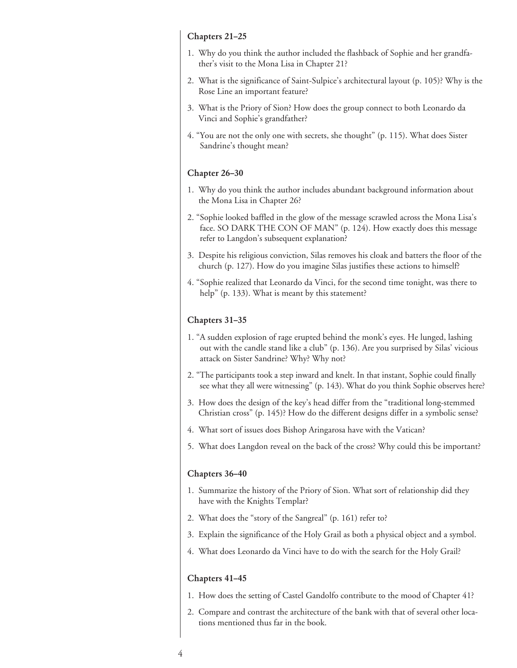#### Chapters 21–25

- 1. Why do you think the author included the flashback of Sophie and her grandfather's visit to the Mona Lisa in Chapter 21?
- 2. What is the significance of Saint-Sulpice's architectural layout (p. 105)? Why is the Rose Line an important feature?
- 3. What is the Priory of Sion? How does the group connect to both Leonardo da Vinci and Sophie's grandfather?
- 4. "You are not the only one with secrets, she thought" (p. 115). What does Sister Sandrine's thought mean?

#### Chapter 26–30

- 1. Why do you think the author includes abundant background information about the Mona Lisa in Chapter 26?
- 2. "Sophie looked baffled in the glow of the message scrawled across the Mona Lisa's face. SO DARK THE CON OF MAN" (p. 124). How exactly does this message refer to Langdon's subsequent explanation?
- 3. Despite his religious conviction, Silas removes his cloak and batters the floor of the church (p. 127). How do you imagine Silas justifies these actions to himself?
- 4. "Sophie realized that Leonardo da Vinci, for the second time tonight, was there to help" (p. 133). What is meant by this statement?

#### Chapters 31–35

- 1. "A sudden explosion of rage erupted behind the monk's eyes. He lunged, lashing out with the candle stand like a club" (p. 136). Are you surprised by Silas' vicious attack on Sister Sandrine? Why? Why not?
- 2. "The participants took a step inward and knelt. In that instant, Sophie could finally see what they all were witnessing" (p. 143). What do you think Sophie observes here?
- 3. How does the design of the key's head differ from the "traditional long-stemmed Christian cross" (p. 145)? How do the different designs differ in a symbolic sense?
- 4. What sort of issues does Bishop Aringarosa have with the Vatican?
- 5. What does Langdon reveal on the back of the cross? Why could this be important?

#### Chapters 36–40

- 1. Summarize the history of the Priory of Sion. What sort of relationship did they have with the Knights Templar?
- 2. What does the "story of the Sangreal" (p. 161) refer to?
- 3. Explain the significance of the Holy Grail as both a physical object and a symbol.
- 4. What does Leonardo da Vinci have to do with the search for the Holy Grail?

#### Chapters 41–45

- 1. How does the setting of Castel Gandolfo contribute to the mood of Chapter 41?
- 2. Compare and contrast the architecture of the bank with that of several other locations mentioned thus far in the book.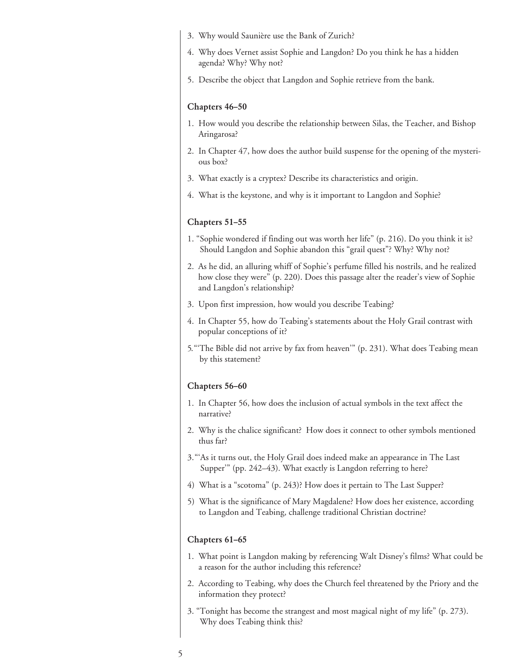- 3. Why would Saunière use the Bank of Zurich?
- 4. Why does Vernet assist Sophie and Langdon? Do you think he has a hidden agenda? Why? Why not?
- 5. Describe the object that Langdon and Sophie retrieve from the bank.

#### Chapters 46–50

- 1. How would you describe the relationship between Silas, the Teacher, and Bishop Aringarosa?
- 2. In Chapter 47, how does the author build suspense for the opening of the mysterious box?
- 3. What exactly is a cryptex? Describe its characteristics and origin.
- 4. What is the keystone, and why is it important to Langdon and Sophie?

#### Chapters 51–55

- 1. "Sophie wondered if finding out was worth her life" (p. 216). Do you think it is? Should Langdon and Sophie abandon this "grail quest"? Why? Why not?
- 2. As he did, an alluring whiff of Sophie's perfume filled his nostrils, and he realized how close they were" (p. 220). Does this passage alter the reader's view of Sophie and Langdon's relationship?
- 3. Upon first impression, how would you describe Teabing?
- 4. In Chapter 55, how do Teabing's statements about the Holy Grail contrast with popular conceptions of it?
- 5. "'The Bible did not arrive by fax from heaven'" (p. 231). What does Teabing mean by this statement?

#### Chapters 56–60

- 1. In Chapter 56, how does the inclusion of actual symbols in the text affect the narrative?
- 2. Why is the chalice significant? How does it connect to other symbols mentioned thus far?
- 3. "'As it turns out, the Holy Grail does indeed make an appearance in The Last Supper'" (pp. 242–43). What exactly is Langdon referring to here?
- 4) What is a "scotoma" (p. 243)? How does it pertain to The Last Supper?
- 5) What is the significance of Mary Magdalene? How does her existence, according to Langdon and Teabing, challenge traditional Christian doctrine?

#### Chapters 61–65

- 1. What point is Langdon making by referencing Walt Disney's films? What could be a reason for the author including this reference?
- 2. According to Teabing, why does the Church feel threatened by the Priory and the information they protect?
- 3. "Tonight has become the strangest and most magical night of my life" (p. 273). Why does Teabing think this?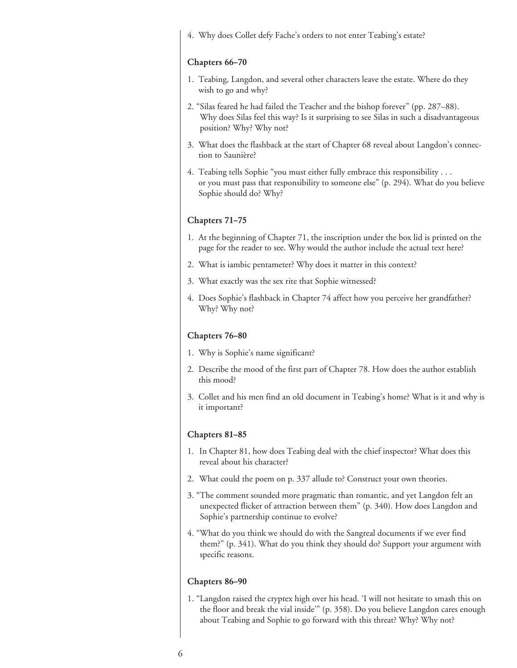4. Why does Collet defy Fache's orders to not enter Teabing's estate?

#### Chapters 66–70

- 1. Teabing, Langdon, and several other characters leave the estate. Where do they wish to go and why?
- 2. "Silas feared he had failed the Teacher and the bishop forever" (pp. 287–88). Why does Silas feel this way? Is it surprising to see Silas in such a disadvantageous position? Why? Why not?
- 3. What does the flashback at the start of Chapter 68 reveal about Langdon's connection to Saunière?
- 4. Teabing tells Sophie "you must either fully embrace this responsibility . . . or you must pass that responsibility to someone else" (p. 294). What do you believe Sophie should do? Why?

## Chapters 71–75

- 1. At the beginning of Chapter 71, the inscription under the box lid is printed on the page for the reader to see. Why would the author include the actual text here?
- 2. What is iambic pentameter? Why does it matter in this context?
- 3. What exactly was the sex rite that Sophie witnessed?
- 4. Does Sophie's flashback in Chapter 74 affect how you perceive her grandfather? Why? Why not?

#### Chapters 76–80

- 1. Why is Sophie's name significant?
- 2. Describe the mood of the first part of Chapter 78. How does the author establish this mood?
- 3. Collet and his men find an old document in Teabing's home? What is it and why is it important?

#### Chapters 81–85

- 1. In Chapter 81, how does Teabing deal with the chief inspector? What does this reveal about his character?
- 2. What could the poem on p. 337 allude to? Construct your own theories.
- 3. "The comment sounded more pragmatic than romantic, and yet Langdon felt an unexpected flicker of attraction between them" (p. 340). How does Langdon and Sophie's partnership continue to evolve?
- 4. "What do you think we should do with the Sangreal documents if we ever find them?" (p. 341). What do you think they should do? Support your argument with specific reasons.

#### Chapters 86–90

1. "Langdon raised the cryptex high over his head. 'I will not hesitate to smash this on the floor and break the vial inside'" (p. 358). Do you believe Langdon cares enough about Teabing and Sophie to go forward with this threat? Why? Why not?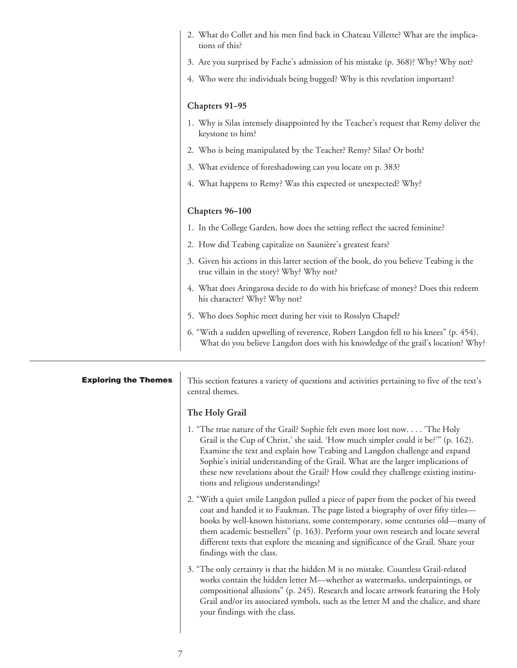| 2. What do Collet and his men find back in Chateau Villette? What are the implica-<br>tions of this?                               |
|------------------------------------------------------------------------------------------------------------------------------------|
| 3. Are you surprised by Fache's admission of his mistake (p. 368)? Why? Why not?                                                   |
| 4. Who were the individuals being bugged? Why is this revelation important?                                                        |
| Chapters 91-95                                                                                                                     |
| 1. Why is Silas intensely disappointed by the Teacher's request that Remy deliver the<br>keystone to him?                          |
| 2. Who is being manipulated by the Teacher? Remy? Silas? Or both?                                                                  |
| 3. What evidence of foreshadowing can you locate on p. 383?                                                                        |
| 4. What happens to Remy? Was this expected or unexpected? Why?                                                                     |
| Chapters 96-100                                                                                                                    |
|                                                                                                                                    |
| 1. In the College Garden, how does the setting reflect the sacred feminine?                                                        |
| 2. How did Teabing capitalize on Saunière's greatest fears?                                                                        |
| 3. Given his actions in this latter section of the book, do you believe Teabing is the<br>true villain in the story? Why? Why not? |
| 4. What does Aringarosa decide to do with his briefcase of money? Does this redeem<br>his character? Why? Why not?                 |
| 5. Who does Sophie meet during her visit to Rosslyn Chapel?                                                                        |

| <b>Exploring the Themes</b> | This section features a variety of questions and activities pertaining to five of the text's<br>central themes.                                                                                                                                                                                                                                                                                                                                                 |
|-----------------------------|-----------------------------------------------------------------------------------------------------------------------------------------------------------------------------------------------------------------------------------------------------------------------------------------------------------------------------------------------------------------------------------------------------------------------------------------------------------------|
|                             | The Holy Grail                                                                                                                                                                                                                                                                                                                                                                                                                                                  |
|                             | 1. "The true nature of the Grail? Sophie felt even more lost now. "The Holy<br>Grail is the Cup of Christ,' she said. 'How much simpler could it be?'" (p. 162).<br>Examine the text and explain how Teabing and Langdon challenge and expand<br>Sophie's initial understanding of the Grail. What are the larger implications of<br>these new revelations about the Grail? How could they challenge existing institu-<br>tions and religious understandings?   |
|                             | 2. "With a quiet smile Langdon pulled a piece of paper from the pocket of his tweed<br>coat and handed it to Faukman. The page listed a biography of over fifty titles-<br>books by well-known historians, some contemporary, some centuries old-many of<br>them academic bestsellers" (p. 163). Perform your own research and locate several<br>different texts that explore the meaning and significance of the Grail. Share your<br>findings with the class. |
|                             | 3. "The only certainty is that the hidden M is no mistake. Countless Grail-related<br>works contain the hidden letter M—whether as watermarks, underpaintings, or<br>compositional allusions" (p. 245). Research and locate artwork featuring the Holy<br>Grail and/or its associated symbols, such as the letter M and the chalice, and share<br>your findings with the class.                                                                                 |
|                             |                                                                                                                                                                                                                                                                                                                                                                                                                                                                 |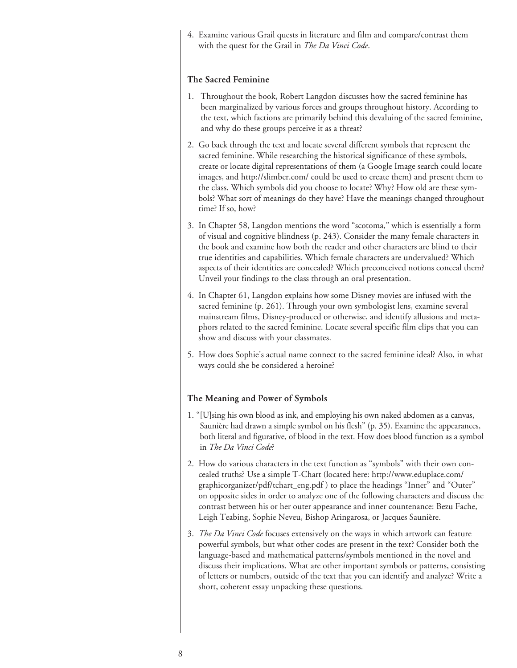4. Examine various Grail quests in literature and film and compare/contrast them with the quest for the Grail in *The Da Vinci Code*.

## The Sacred Feminine

- 1. Throughout the book, Robert Langdon discusses how the sacred feminine has been marginalized by various forces and groups throughout history. According to the text, which factions are primarily behind this devaluing of the sacred feminine, and why do these groups perceive it as a threat?
- 2. Go back through the text and locate several different symbols that represent the sacred feminine. While researching the historical significance of these symbols, create or locate digital representations of them (a Google Image search could locate images, and http://slimber.com/ could be used to create them) and present them to the class. Which symbols did you choose to locate? Why? How old are these symbols? What sort of meanings do they have? Have the meanings changed throughout time? If so, how?
- 3. In Chapter 58, Langdon mentions the word "scotoma," which is essentially a form of visual and cognitive blindness (p. 243). Consider the many female characters in the book and examine how both the reader and other characters are blind to their true identities and capabilities. Which female characters are undervalued? Which aspects of their identities are concealed? Which preconceived notions conceal them? Unveil your findings to the class through an oral presentation.
- 4. In Chapter 61, Langdon explains how some Disney movies are infused with the sacred feminine (p. 261). Through your own symbologist lens, examine several mainstream films, Disney-produced or otherwise, and identify allusions and metaphors related to the sacred feminine. Locate several specific film clips that you can show and discuss with your classmates.
- 5. How does Sophie's actual name connect to the sacred feminine ideal? Also, in what ways could she be considered a heroine?

#### The Meaning and Power of Symbols

- 1. "[U]sing his own blood as ink, and employing his own naked abdomen as a canvas, Saunière had drawn a simple symbol on his flesh" (p. 35). Examine the appearances, both literal and figurative, of blood in the text. How does blood function as a symbol in *The Da Vinci Code*?
- 2. How do various characters in the text function as "symbols" with their own concealed truths? Use a simple T-Chart (located here: http://www.eduplace.com/ graphicorganizer/pdf/tchart\_eng.pdf ) to place the headings "Inner" and "Outer" on opposite sides in order to analyze one of the following characters and discuss the contrast between his or her outer appearance and inner countenance: Bezu Fache, Leigh Teabing, Sophie Neveu, Bishop Aringarosa, or Jacques Saunière.
- 3. *The Da Vinci Code* focuses extensively on the ways in which artwork can feature powerful symbols, but what other codes are present in the text? Consider both the language-based and mathematical patterns/symbols mentioned in the novel and discuss their implications. What are other important symbols or patterns, consisting of letters or numbers, outside of the text that you can identify and analyze? Write a short, coherent essay unpacking these questions.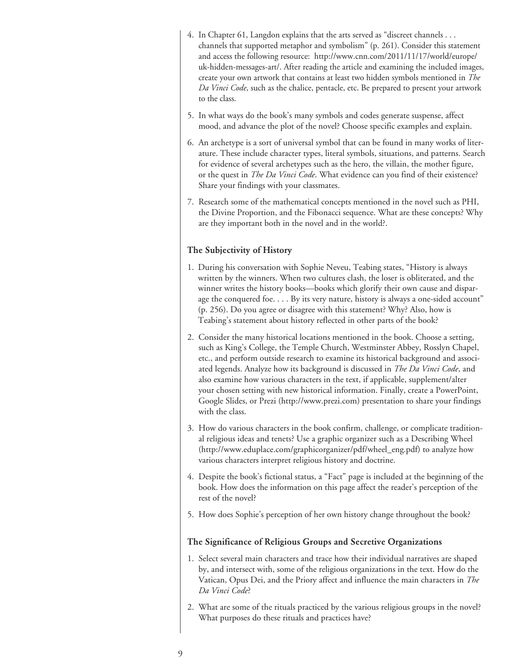- 4. In Chapter 61, Langdon explains that the arts served as "discreet channels . . . channels that supported metaphor and symbolism" (p. 261). Consider this statement and access the following resource: http://www.cnn.com/2011/11/17/world/europe/ uk-hidden-messages-art/. After reading the article and examining the included images, create your own artwork that contains at least two hidden symbols mentioned in *The Da Vinci Code*, such as the chalice, pentacle, etc. Be prepared to present your artwork to the class.
- 5. In what ways do the book's many symbols and codes generate suspense, affect mood, and advance the plot of the novel? Choose specific examples and explain.
- 6. An archetype is a sort of universal symbol that can be found in many works of literature. These include character types, literal symbols, situations, and patterns. Search for evidence of several archetypes such as the hero, the villain, the mother figure, or the quest in *The Da Vinci Code*. What evidence can you find of their existence? Share your findings with your classmates.
- 7. Research some of the mathematical concepts mentioned in the novel such as PHI, the Divine Proportion, and the Fibonacci sequence. What are these concepts? Why are they important both in the novel and in the world?.

# The Subjectivity of History

- 1. During his conversation with Sophie Neveu, Teabing states, "History is always written by the winners. When two cultures clash, the loser is obliterated, and the winner writes the history books—books which glorify their own cause and disparage the conquered foe. . . . By its very nature, history is always a one-sided account" (p. 256). Do you agree or disagree with this statement? Why? Also, how is Teabing's statement about history reflected in other parts of the book?
- 2. Consider the many historical locations mentioned in the book. Choose a setting, such as King's College, the Temple Church, Westminster Abbey, Rosslyn Chapel, etc., and perform outside research to examine its historical background and associated legends. Analyze how its background is discussed in *The Da Vinci Code*, and also examine how various characters in the text, if applicable, supplement/alter your chosen setting with new historical information. Finally, create a PowerPoint, Google Slides, or Prezi (http://www.prezi.com) presentation to share your findings with the class.
- 3. How do various characters in the book confirm, challenge, or complicate traditional religious ideas and tenets? Use a graphic organizer such as a Describing Wheel (http://www.eduplace.com/graphicorganizer/pdf/wheel\_eng.pdf) to analyze how various characters interpret religious history and doctrine.
- 4. Despite the book's fictional status, a "Fact" page is included at the beginning of the book. How does the information on this page affect the reader's perception of the rest of the novel?
- 5. How does Sophie's perception of her own history change throughout the book?

# The Significance of Religious Groups and Secretive Organizations

- 1. Select several main characters and trace how their individual narratives are shaped by, and intersect with, some of the religious organizations in the text. How do the Vatican, Opus Dei, and the Priory affect and influence the main characters in *The Da Vinci Code*?
- 2. What are some of the rituals practiced by the various religious groups in the novel? What purposes do these rituals and practices have?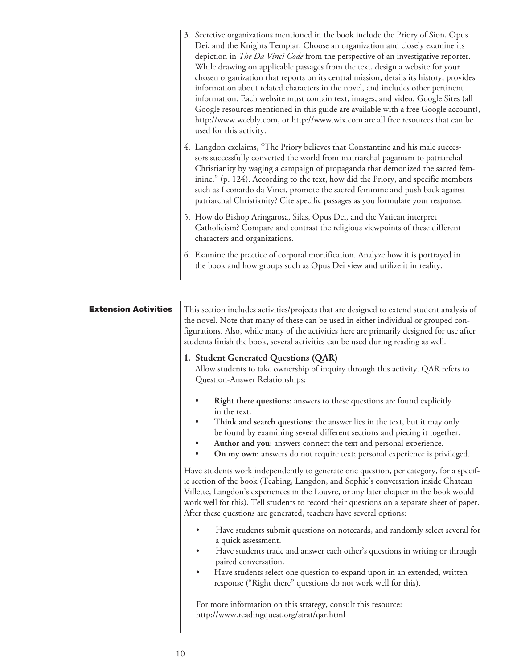|                             | 3. Secretive organizations mentioned in the book include the Priory of Sion, Opus<br>Dei, and the Knights Templar. Choose an organization and closely examine its<br>depiction in <i>The Da Vinci Code</i> from the perspective of an investigative reporter.<br>While drawing on applicable passages from the text, design a website for your<br>chosen organization that reports on its central mission, details its history, provides<br>information about related characters in the novel, and includes other pertinent<br>information. Each website must contain text, images, and video. Google Sites (all<br>Google resources mentioned in this guide are available with a free Google account),<br>http://www.weebly.com, or http://www.wix.com are all free resources that can be<br>used for this activity. |
|-----------------------------|-----------------------------------------------------------------------------------------------------------------------------------------------------------------------------------------------------------------------------------------------------------------------------------------------------------------------------------------------------------------------------------------------------------------------------------------------------------------------------------------------------------------------------------------------------------------------------------------------------------------------------------------------------------------------------------------------------------------------------------------------------------------------------------------------------------------------|
|                             | 4. Langdon exclaims, "The Priory believes that Constantine and his male succes-<br>sors successfully converted the world from matriarchal paganism to patriarchal<br>Christianity by waging a campaign of propaganda that demonized the sacred fem-<br>inine." (p. 124). According to the text, how did the Priory, and specific members<br>such as Leonardo da Vinci, promote the sacred feminine and push back against<br>patriarchal Christianity? Cite specific passages as you formulate your response.                                                                                                                                                                                                                                                                                                          |
|                             | 5. How do Bishop Aringarosa, Silas, Opus Dei, and the Vatican interpret<br>Catholicism? Compare and contrast the religious viewpoints of these different<br>characters and organizations.                                                                                                                                                                                                                                                                                                                                                                                                                                                                                                                                                                                                                             |
|                             | 6. Examine the practice of corporal mortification. Analyze how it is portrayed in<br>the book and how groups such as Opus Dei view and utilize it in reality.                                                                                                                                                                                                                                                                                                                                                                                                                                                                                                                                                                                                                                                         |
| <b>Extension Activities</b> | This section includes activities/projects that are designed to extend student analysis of<br>the novel. Note that many of these can be used in either individual or grouped con-<br>figurations. Also, while many of the activities here are primarily designed for use after<br>students finish the book, several activities can be used during reading as well.<br>1. Student Generated Questions (QAR)                                                                                                                                                                                                                                                                                                                                                                                                             |
|                             | Allow students to take ownership of inquiry through this activity. QAR refers to<br>Question-Answer Relationships:                                                                                                                                                                                                                                                                                                                                                                                                                                                                                                                                                                                                                                                                                                    |
|                             | Right there questions: answers to these questions are found explicitly<br>in the text.<br>Think and search questions: the answer lies in the text, but it may only<br>be found by examining several different sections and piecing it together.<br>Author and you: answers connect the text and personal experience.<br>$\bullet$                                                                                                                                                                                                                                                                                                                                                                                                                                                                                     |

• **On my own:** answers do not require text; personal experience is privileged.

Have students work independently to generate one question, per category, for a specific section of the book (Teabing, Langdon, and Sophie's conversation inside Chateau Villette, Langdon's experiences in the Louvre, or any later chapter in the book would work well for this). Tell students to record their questions on a separate sheet of paper. After these questions are generated, teachers have several options:

- Have students submit questions on notecards, and randomly select several for a quick assessment.
- Have students trade and answer each other's questions in writing or through paired conversation.
- Have students select one question to expand upon in an extended, written response ("Right there" questions do not work well for this).

For more information on this strategy, consult this resource: http://www.readingquest.org/strat/qar.html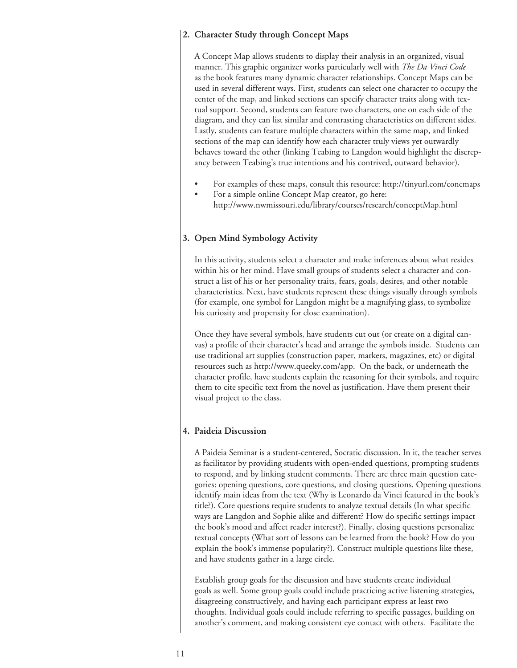## 2. Character Study through Concept Maps

A Concept Map allows students to display their analysis in an organized, visual manner. This graphic organizer works particularly well with *The Da Vinci Code* as the book features many dynamic character relationships. Concept Maps can be used in several different ways. First, students can select one character to occupy the center of the map, and linked sections can specify character traits along with textual support. Second, students can feature two characters, one on each side of the diagram, and they can list similar and contrasting characteristics on different sides. Lastly, students can feature multiple characters within the same map, and linked sections of the map can identify how each character truly views yet outwardly behaves toward the other (linking Teabing to Langdon would highlight the discrepancy between Teabing's true intentions and his contrived, outward behavior).

- For examples of these maps, consult this resource: http://tinyurl.com/concmaps
- For a simple online Concept Map creator, go here: http://www.nwmissouri.edu/library/courses/research/conceptMap.html

#### 3. Open Mind Symbology Activity

In this activity, students select a character and make inferences about what resides within his or her mind. Have small groups of students select a character and construct a list of his or her personality traits, fears, goals, desires, and other notable characteristics. Next, have students represent these things visually through symbols (for example, one symbol for Langdon might be a magnifying glass, to symbolize his curiosity and propensity for close examination).

Once they have several symbols, have students cut out (or create on a digital canvas) a profile of their character's head and arrange the symbols inside. Students can use traditional art supplies (construction paper, markers, magazines, etc) or digital resources such as http://www.queeky.com/app. On the back, or underneath the character profile, have students explain the reasoning for their symbols, and require them to cite specific text from the novel as justification. Have them present their visual project to the class.

# 4. Paideia Discussion

A Paideia Seminar is a student-centered, Socratic discussion. In it, the teacher serves as facilitator by providing students with open-ended questions, prompting students to respond, and by linking student comments. There are three main question categories: opening questions, core questions, and closing questions. Opening questions identify main ideas from the text (Why is Leonardo da Vinci featured in the book's title?). Core questions require students to analyze textual details (In what specific ways are Langdon and Sophie alike and different? How do specific settings impact the book's mood and affect reader interest?). Finally, closing questions personalize textual concepts (What sort of lessons can be learned from the book? How do you explain the book's immense popularity?). Construct multiple questions like these, and have students gather in a large circle.

Establish group goals for the discussion and have students create individual goals as well. Some group goals could include practicing active listening strategies, disagreeing constructively, and having each participant express at least two thoughts. Individual goals could include referring to specific passages, building on another's comment, and making consistent eye contact with others. Facilitate the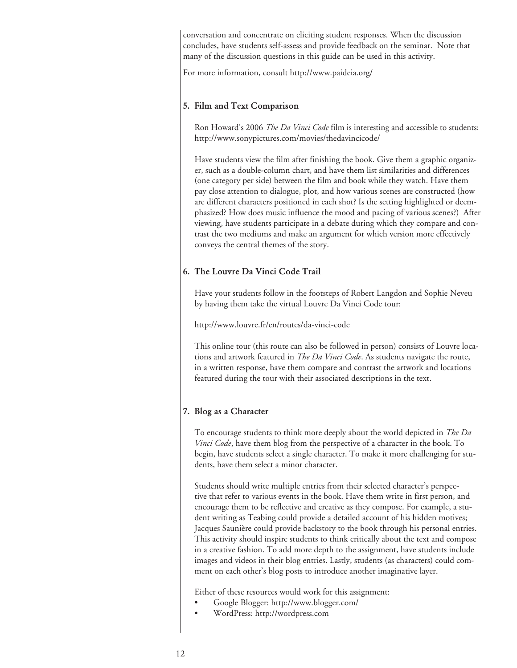conversation and concentrate on eliciting student responses. When the discussion concludes, have students self-assess and provide feedback on the seminar. Note that many of the discussion questions in this guide can be used in this activity.

For more information, consult http://www.paideia.org/

## 5. Film and Text Comparison

Ron Howard's 2006 *The Da Vinci Code* film is interesting and accessible to students: http://www.sonypictures.com/movies/thedavincicode/

Have students view the film after finishing the book. Give them a graphic organizer, such as a double-column chart, and have them list similarities and differences (one category per side) between the film and book while they watch. Have them pay close attention to dialogue, plot, and how various scenes are constructed (how are different characters positioned in each shot? Is the setting highlighted or deemphasized? How does music influence the mood and pacing of various scenes?) After viewing, have students participate in a debate during which they compare and contrast the two mediums and make an argument for which version more effectively conveys the central themes of the story.

## 6. The Louvre Da Vinci Code Trail

Have your students follow in the footsteps of Robert Langdon and Sophie Neveu by having them take the virtual Louvre Da Vinci Code tour:

http://www.louvre.fr/en/routes/da-vinci-code

This online tour (this route can also be followed in person) consists of Louvre locations and artwork featured in *The Da Vinci Code*. As students navigate the route, in a written response, have them compare and contrast the artwork and locations featured during the tour with their associated descriptions in the text.

# 7. Blog as a Character

To encourage students to think more deeply about the world depicted in *The Da Vinci Code*, have them blog from the perspective of a character in the book. To begin, have students select a single character. To make it more challenging for students, have them select a minor character.

Students should write multiple entries from their selected character's perspective that refer to various events in the book. Have them write in first person, and encourage them to be reflective and creative as they compose. For example, a student writing as Teabing could provide a detailed account of his hidden motives; Jacques Saunière could provide backstory to the book through his personal entries. This activity should inspire students to think critically about the text and compose in a creative fashion. To add more depth to the assignment, have students include images and videos in their blog entries. Lastly, students (as characters) could comment on each other's blog posts to introduce another imaginative layer.

Either of these resources would work for this assignment:

- Google Blogger: http://www.blogger.com/
- WordPress: http://wordpress.com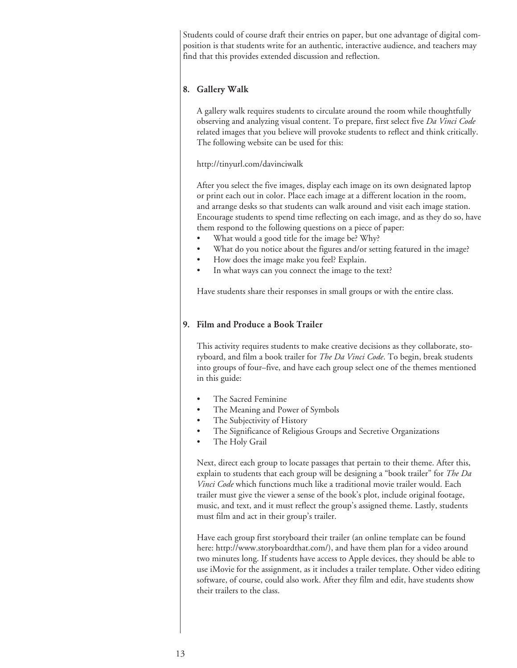Students could of course draft their entries on paper, but one advantage of digital composition is that students write for an authentic, interactive audience, and teachers may find that this provides extended discussion and reflection.

### 8. Gallery Walk

A gallery walk requires students to circulate around the room while thoughtfully observing and analyzing visual content. To prepare, first select five *Da Vinci Code*  related images that you believe will provoke students to reflect and think critically. The following website can be used for this:

http://tinyurl.com/davinciwalk

After you select the five images, display each image on its own designated laptop or print each out in color. Place each image at a different location in the room, and arrange desks so that students can walk around and visit each image station. Encourage students to spend time reflecting on each image, and as they do so, have them respond to the following questions on a piece of paper:

- What would a good title for the image be? Why?
- What do you notice about the figures and/or setting featured in the image?
- How does the image make you feel? Explain.
- In what ways can you connect the image to the text?

Have students share their responses in small groups or with the entire class.

# 9. Film and Produce a Book Trailer

This activity requires students to make creative decisions as they collaborate, storyboard, and film a book trailer for *The Da Vinci Code*. To begin, break students into groups of four–five, and have each group select one of the themes mentioned in this guide:

- The Sacred Feminine
- The Meaning and Power of Symbols
- The Subjectivity of History
- The Significance of Religious Groups and Secretive Organizations
- The Holy Grail

Next, direct each group to locate passages that pertain to their theme. After this, explain to students that each group will be designing a "book trailer" for *The Da Vinci Code* which functions much like a traditional movie trailer would. Each trailer must give the viewer a sense of the book's plot, include original footage, music, and text, and it must reflect the group's assigned theme. Lastly, students must film and act in their group's trailer.

Have each group first storyboard their trailer (an online template can be found here: http://www.storyboardthat.com/), and have them plan for a video around two minutes long. If students have access to Apple devices, they should be able to use iMovie for the assignment, as it includes a trailer template. Other video editing software, of course, could also work. After they film and edit, have students show their trailers to the class.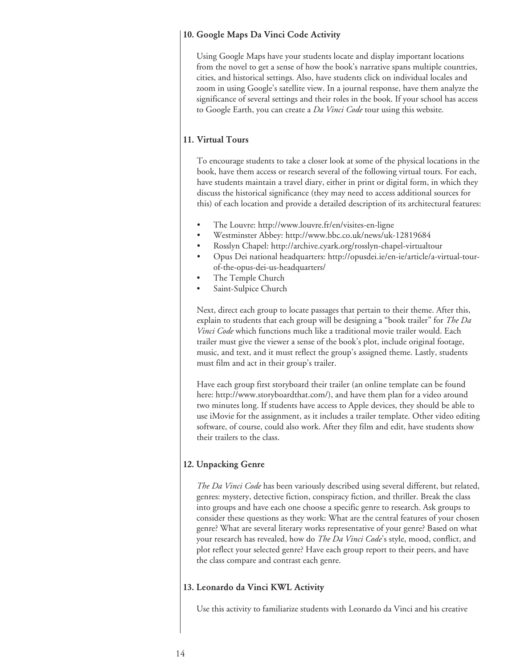#### 10. Google Maps Da Vinci Code Activity

Using Google Maps have your students locate and display important locations from the novel to get a sense of how the book's narrative spans multiple countries, cities, and historical settings. Also, have students click on individual locales and zoom in using Google's satellite view. In a journal response, have them analyze the significance of several settings and their roles in the book. If your school has access to Google Earth, you can create a *Da Vinci Code* tour using this website.

### 11. Virtual Tours

To encourage students to take a closer look at some of the physical locations in the book, have them access or research several of the following virtual tours. For each, have students maintain a travel diary, either in print or digital form, in which they discuss the historical significance (they may need to access additional sources for this) of each location and provide a detailed description of its architectural features:

- The Louvre: http://www.louvre.fr/en/visites-en-ligne
- Westminster Abbey: http://www.bbc.co.uk/news/uk-12819684
- Rosslyn Chapel: http://archive.cyark.org/rosslyn-chapel-virtualtour
- Opus Dei national headquarters: http://opusdei.ie/en-ie/article/a-virtual-tourof-the-opus-dei-us-headquarters/
- The Temple Church
- Saint-Sulpice Church

Next, direct each group to locate passages that pertain to their theme. After this, explain to students that each group will be designing a "book trailer" for *The Da Vinci Code* which functions much like a traditional movie trailer would. Each trailer must give the viewer a sense of the book's plot, include original footage, music, and text, and it must reflect the group's assigned theme. Lastly, students must film and act in their group's trailer.

Have each group first storyboard their trailer (an online template can be found here: http://www.storyboardthat.com/), and have them plan for a video around two minutes long. If students have access to Apple devices, they should be able to use iMovie for the assignment, as it includes a trailer template. Other video editing software, of course, could also work. After they film and edit, have students show their trailers to the class.

#### 12. Unpacking Genre

*The Da Vinci Code* has been variously described using several different, but related, genres: mystery, detective fiction, conspiracy fiction, and thriller. Break the class into groups and have each one choose a specific genre to research. Ask groups to consider these questions as they work: What are the central features of your chosen genre? What are several literary works representative of your genre? Based on what your research has revealed, how do *The Da Vinci Code*'s style, mood, conflict, and plot reflect your selected genre? Have each group report to their peers, and have the class compare and contrast each genre.

#### 13. Leonardo da Vinci KWL Activity

Use this activity to familiarize students with Leonardo da Vinci and his creative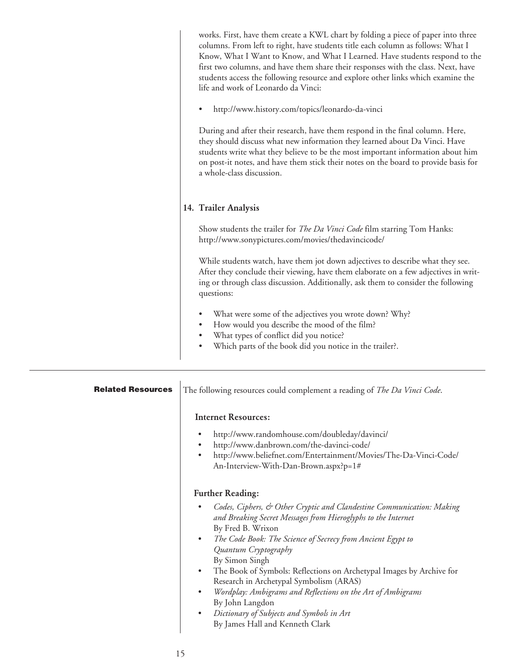| works. First, have them create a KWL chart by folding a piece of paper into three<br>columns. From left to right, have students title each column as follows: What I<br>Know, What I Want to Know, and What I Learned. Have students respond to the<br>first two columns, and have them share their responses with the class. Next, have<br>students access the following resource and explore other links which examine the<br>life and work of Leonardo da Vinci: |
|---------------------------------------------------------------------------------------------------------------------------------------------------------------------------------------------------------------------------------------------------------------------------------------------------------------------------------------------------------------------------------------------------------------------------------------------------------------------|
| http://www.history.com/topics/leonardo-da-vinci<br>$\bullet$                                                                                                                                                                                                                                                                                                                                                                                                        |
| During and after their research, have them respond in the final column. Here,<br>they should discuss what new information they learned about Da Vinci. Have<br>students write what they believe to be the most important information about him<br>on post-it notes, and have them stick their notes on the board to provide basis for<br>a whole-class discussion.                                                                                                  |
| 14. Trailer Analysis                                                                                                                                                                                                                                                                                                                                                                                                                                                |
| Show students the trailer for <i>The Da Vinci Code</i> film starring Tom Hanks:<br>http://www.sonypictures.com/movies/thedavincicode/                                                                                                                                                                                                                                                                                                                               |
| While students watch, have them jot down adjectives to describe what they see.<br>After they conclude their viewing, have them elaborate on a few adjectives in writ-<br>ing or through class discussion. Additionally, ask them to consider the following<br>questions:                                                                                                                                                                                            |
| What were some of the adjectives you wrote down? Why?<br>$\bullet$<br>How would you describe the mood of the film?<br>$\bullet$<br>What types of conflict did you notice?                                                                                                                                                                                                                                                                                           |
| Which parts of the book did you notice in the trailer?.<br>$\bullet$                                                                                                                                                                                                                                                                                                                                                                                                |
|                                                                                                                                                                                                                                                                                                                                                                                                                                                                     |

| <b>Related Resources</b> | The following resources could complement a reading of The Da Vinci Code.                                                                                                                                                                                                                                                                                                                                                                                                                                                                                                                                                    |
|--------------------------|-----------------------------------------------------------------------------------------------------------------------------------------------------------------------------------------------------------------------------------------------------------------------------------------------------------------------------------------------------------------------------------------------------------------------------------------------------------------------------------------------------------------------------------------------------------------------------------------------------------------------------|
|                          | <b>Internet Resources:</b><br>http://www.randomhouse.com/doubleday/davinci/<br>http://www.danbrown.com/the-davinci-code/<br>٠<br>http://www.beliefnet.com/Entertainment/Movies/The-Da-Vinci-Code/<br>$\bullet$<br>An-Interview-With-Dan-Brown.aspx?p=1#                                                                                                                                                                                                                                                                                                                                                                     |
|                          | <b>Further Reading:</b><br>Codes, Ciphers, & Other Cryptic and Clandestine Communication: Making<br>and Breaking Secret Messages from Hieroglyphs to the Internet<br>By Fred B. Wrixon<br>The Code Book: The Science of Secrecy from Ancient Egypt to<br>$\bullet$<br>Quantum Cryptography<br>By Simon Singh<br>The Book of Symbols: Reflections on Archetypal Images by Archive for<br>$\bullet$<br>Research in Archetypal Symbolism (ARAS)<br>Wordplay: Ambigrams and Reflections on the Art of Ambigrams<br>$\bullet$<br>By John Langdon<br>Dictionary of Subjects and Symbols in Art<br>By James Hall and Kenneth Clark |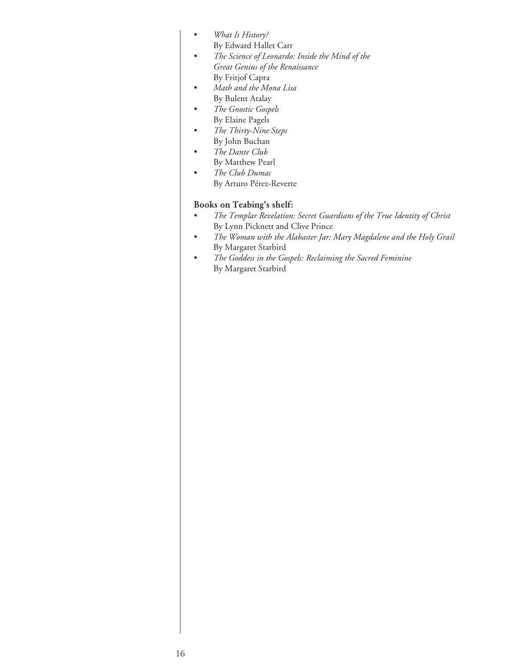- *What Is History?*  By Edward Hallet Carr
- *The Science of Leonardo: Inside the Mind of the Great Genius of the Renaissance* By Fritjof Capra
- *Math and the Mona Lisa* By Bulent Atalay
- *The Gnostic Gospels* By Elaine Pagels
- *The Thirty-Nine Steps* By John Buchan
- *The Dante Club* By Matthew Pearl
- *The Club Dumas* By Arturo Pérez-Reverte

# Books on Teabing's shelf:

- *The Templar Revelation: Secret Guardians of the True Identity of Christ* By Lynn Picknett and Clive Prince
- *The Woman with the Alabaster Jar: Mary Magdalene and the Holy Grail* By Margaret Starbird
- *The Goddess in the Gospels: Reclaiming the Sacred Feminine* By Margaret Starbird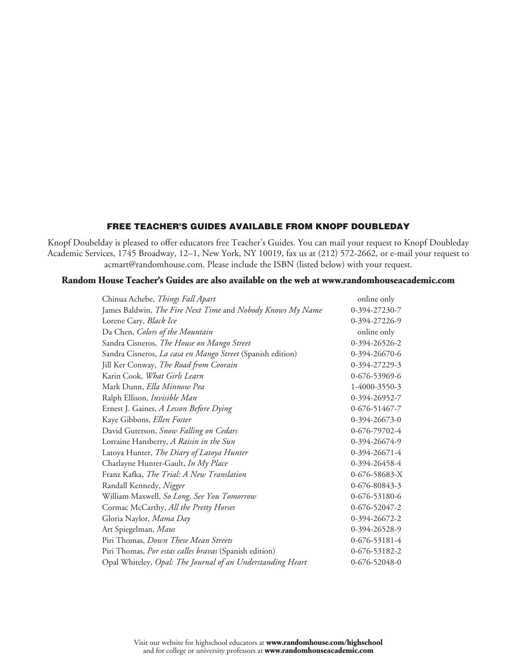## Free Teacher's Guides available from KNOPF DOUBLEDAY

Knopf Doubelday is pleased to offer educators free Teacher's Guides. You can mail your request to Knopf Doubleday Academic Services, 1745 Broadway, 12–1, New York, NY 10019, fax us at (212) 572-2662, or e-mail your request to acmart@randomhouse.com. Please include the ISBN (listed below) with your request.

# **Random House Teacher's Guides are also available on the web at www.randomhouseacademic.com**

| Chinua Achebe, Things Fall Apart                           | online only   |
|------------------------------------------------------------|---------------|
| James Baldwin, The Fire Next Time and Nobody Knows My Name | 0-394-27230-7 |
| Lorene Cary, Black Ice                                     | 0-394-27226-9 |
| Da Chen, Colors of the Mountain                            | online only   |
| Sandra Cisneros, The House on Mango Street                 | 0-394-26526-2 |
| Sandra Cisneros, La casa en Mango Street (Spanish edition) | 0-394-26670-6 |
| Jill Ker Conway, The Road from Coorain                     | 0-394-27229-3 |
| Karin Cook, What Girls Learn                               | 0-676-53969-6 |
| Mark Dunn, Ella Minnow Pea                                 | 1-4000-3550-3 |
| Ralph Ellison, Invisible Man                               | 0-394-26952-7 |
| Ernest J. Gaines, A Lesson Before Dying                    | 0-676-51467-7 |
| Kaye Gibbons, Ellen Foster                                 | 0-394-26673-0 |
| David Guterson, Snow Falling on Cedars                     | 0-676-79702-4 |
| Lorraine Hansberry, A Raisin in the Sun                    | 0-394-26674-9 |
| Latoya Hunter, The Diary of Latoya Hunter                  | 0-394-26671-4 |
| Charlayne Hunter-Gault, In My Place                        | 0-394-26458-4 |
| Franz Kafka, The Trial: A New Translation                  | 0-676-58683-X |
| Randall Kennedy, Nigger                                    | 0-676-80843-3 |
| William Maxwell, So Long, See You Tomorrow                 | 0-676-53180-6 |
| Cormac McCarthy, All the Pretty Horses                     | 0-676-52047-2 |
| Gloria Naylor, Mama Day                                    | 0-394-26672-2 |
| Art Spiegelman, Maus                                       | 0-394-26528-9 |
| Piri Thomas, Down These Mean Streets                       | 0-676-53181-4 |
| Piri Thomas, Por estas calles bravas (Spanish edition)     | 0-676-53182-2 |
| Opal Whiteley, Opal: The Journal of an Understanding Heart | 0-676-52048-0 |